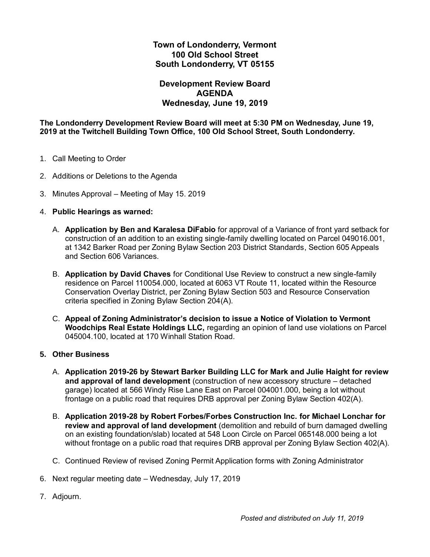## **Town of Londonderry, Vermont 100 Old School Street South Londonderry, VT 05155**

## **Development Review Board AGENDA Wednesday, June 19, 2019**

#### **The Londonderry Development Review Board will meet at 5:30 PM on Wednesday, June 19, 2019 at the Twitchell Building Town Office, 100 Old School Street, South Londonderry.**

- 1. Call Meeting to Order
- 2. Additions or Deletions to the Agenda
- 3. Minutes Approval Meeting of May 15. 2019

#### 4. **Public Hearings as warned:**

- A. **Application by Ben and Karalesa DiFabio** for approval of a Variance of front yard setback for construction of an addition to an existing single-family dwelling located on Parcel 049016.001, at 1342 Barker Road per Zoning Bylaw Section 203 District Standards, Section 605 Appeals and Section 606 Variances.
- B. **Application by David Chaves** for Conditional Use Review to construct a new single-family residence on Parcel 110054.000, located at 6063 VT Route 11, located within the Resource Conservation Overlay District, per Zoning Bylaw Section 503 and Resource Conservation criteria specified in Zoning Bylaw Section 204(A).
- C. **Appeal of Zoning Administrator's decision to issue a Notice of Violation to Vermont Woodchips Real Estate Holdings LLC,** regarding an opinion of land use violations on Parcel 045004.100, located at 170 Winhall Station Road.

#### **5. Other Business**

- A. **Application 2019-26 by Stewart Barker Building LLC for Mark and Julie Haight for review and approval of land development** (construction of new accessory structure – detached garage) located at 566 Windy Rise Lane East on Parcel 004001.000, being a lot without frontage on a public road that requires DRB approval per Zoning Bylaw Section 402(A).
- B. **Application 2019-28 by Robert Forbes/Forbes Construction Inc. for Michael Lonchar for review and approval of land development** (demolition and rebuild of burn damaged dwelling on an existing foundation/slab) located at 548 Loon Circle on Parcel 065148.000 being a lot without frontage on a public road that requires DRB approval per Zoning Bylaw Section 402(A).
- C. Continued Review of revised Zoning Permit Application forms with Zoning Administrator
- 6. Next regular meeting date Wednesday, July 17, 2019
- 7. Adjourn.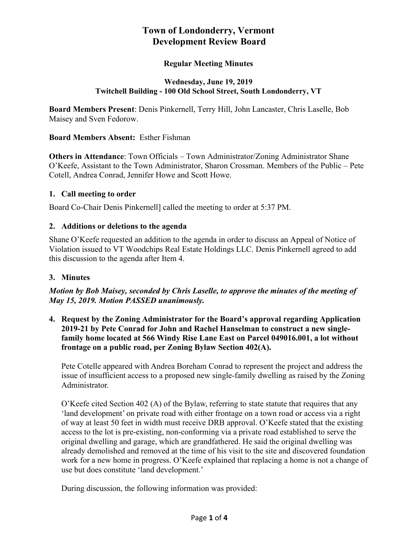# **Town of Londonderry, Vermont Development Review Board**

# **Regular Meeting Minutes**

#### **Wednesday, June 19, 2019 Twitchell Building - 100 Old School Street, South Londonderry, VT**

**Board Members Present**: Denis Pinkernell, Terry Hill, John Lancaster, Chris Laselle, Bob Maisey and Sven Fedorow.

#### **Board Members Absent:** Esther Fishman

**Others in Attendance**: Town Officials – Town Administrator/Zoning Administrator Shane O'Keefe, Assistant to the Town Administrator, Sharon Crossman. Members of the Public – Pete Cotell, Andrea Conrad, Jennifer Howe and Scott Howe.

#### **1. Call meeting to order**

Board Co-Chair Denis Pinkernell] called the meeting to order at 5:37 PM.

## **2. Additions or deletions to the agenda**

Shane O'Keefe requested an addition to the agenda in order to discuss an Appeal of Notice of Violation issued to VT Woodchips Real Estate Holdings LLC. Denis Pinkernell agreed to add this discussion to the agenda after Item 4.

## **3. Minutes**

## *Motion by Bob Maisey, seconded by Chris Laselle, to approve the minutes of the meeting of May 15, 2019. Motion PASSED unanimously.*

**4. Request by the Zoning Administrator for the Board's approval regarding Application 2019-21 by Pete Conrad for John and Rachel Hanselman to construct a new singlefamily home located at 566 Windy Rise Lane East on Parcel 049016.001, a lot without frontage on a public road, per Zoning Bylaw Section 402(A).**

Pete Cotelle appeared with Andrea Boreham Conrad to represent the project and address the issue of insufficient access to a proposed new single-family dwelling as raised by the Zoning Administrator.

O'Keefe cited Section 402 (A) of the Bylaw, referring to state statute that requires that any 'land development' on private road with either frontage on a town road or access via a right of way at least 50 feet in width must receive DRB approval. O'Keefe stated that the existing access to the lot is pre-existing, non-conforming via a private road established to serve the original dwelling and garage, which are grandfathered. He said the original dwelling was already demolished and removed at the time of his visit to the site and discovered foundation work for a new home in progress. O'Keefe explained that replacing a home is not a change of use but does constitute 'land development.'

During discussion, the following information was provided: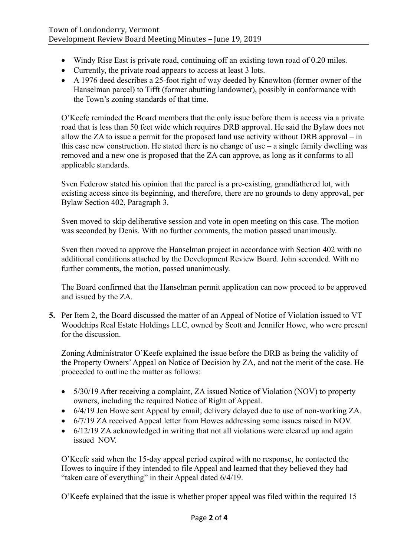- Windy Rise East is private road, continuing off an existing town road of 0.20 miles.
- Currently, the private road appears to access at least 3 lots.
- A 1976 deed describes a 25-foot right of way deeded by Knowlton (former owner of the Hanselman parcel) to Tifft (former abutting landowner), possibly in conformance with the Town's zoning standards of that time.

O'Keefe reminded the Board members that the only issue before them is access via a private road that is less than 50 feet wide which requires DRB approval. He said the Bylaw does not allow the ZA to issue a permit for the proposed land use activity without DRB approval – in this case new construction. He stated there is no change of use  $-$  a single family dwelling was removed and a new one is proposed that the ZA can approve, as long as it conforms to all applicable standards.

Sven Federow stated his opinion that the parcel is a pre-existing, grandfathered lot, with existing access since its beginning, and therefore, there are no grounds to deny approval, per Bylaw Section 402, Paragraph 3.

Sven moved to skip deliberative session and vote in open meeting on this case. The motion was seconded by Denis. With no further comments, the motion passed unanimously.

Sven then moved to approve the Hanselman project in accordance with Section 402 with no additional conditions attached by the Development Review Board. John seconded. With no further comments, the motion, passed unanimously.

The Board confirmed that the Hanselman permit application can now proceed to be approved and issued by the ZA.

**5.** Per Item 2, the Board discussed the matter of an Appeal of Notice of Violation issued to VT Woodchips Real Estate Holdings LLC, owned by Scott and Jennifer Howe, who were present for the discussion.

Zoning Administrator O'Keefe explained the issue before the DRB as being the validity of the Property Owners' Appeal on Notice of Decision by ZA, and not the merit of the case. He proceeded to outline the matter as follows:

- 5/30/19 After receiving a complaint, ZA issued Notice of Violation (NOV) to property owners, including the required Notice of Right of Appeal.
- 6/4/19 Jen Howe sent Appeal by email; delivery delayed due to use of non-working ZA.
- 6/7/19 ZA received Appeal letter from Howes addressing some issues raised in NOV.
- 6/12/19 ZA acknowledged in writing that not all violations were cleared up and again issued NOV.

O'Keefe said when the 15-day appeal period expired with no response, he contacted the Howes to inquire if they intended to file Appeal and learned that they believed they had "taken care of everything" in their Appeal dated 6/4/19.

O'Keefe explained that the issue is whether proper appeal was filed within the required 15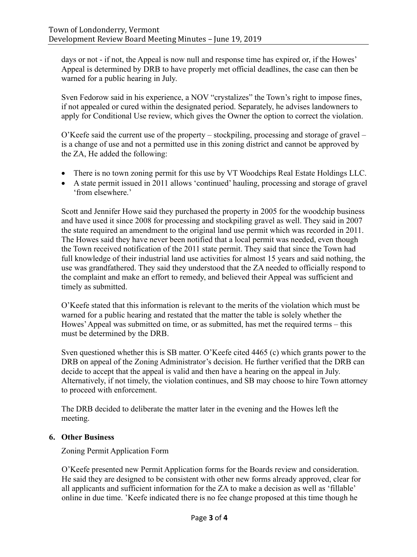days or not - if not, the Appeal is now null and response time has expired or, if the Howes' Appeal is determined by DRB to have properly met official deadlines, the case can then be warned for a public hearing in July.

Sven Fedorow said in his experience, a NOV "crystalizes" the Town's right to impose fines, if not appealed or cured within the designated period. Separately, he advises landowners to apply for Conditional Use review, which gives the Owner the option to correct the violation.

 $O'$ Keefe said the current use of the property – stockpiling, processing and storage of gravel – is a change of use and not a permitted use in this zoning district and cannot be approved by the ZA, He added the following:

- There is no town zoning permit for this use by VT Woodchips Real Estate Holdings LLC.
- A state permit issued in 2011 allows 'continued' hauling, processing and storage of gravel 'from elsewhere.'

Scott and Jennifer Howe said they purchased the property in 2005 for the woodchip business and have used it since 2008 for processing and stockpiling gravel as well. They said in 2007 the state required an amendment to the original land use permit which was recorded in 2011. The Howes said they have never been notified that a local permit was needed, even though the Town received notification of the 2011 state permit. They said that since the Town had full knowledge of their industrial land use activities for almost 15 years and said nothing, the use was grandfathered. They said they understood that the ZA needed to officially respond to the complaint and make an effort to remedy, and believed their Appeal was sufficient and timely as submitted.

O'Keefe stated that this information is relevant to the merits of the violation which must be warned for a public hearing and restated that the matter the table is solely whether the Howes' Appeal was submitted on time, or as submitted, has met the required terms – this must be determined by the DRB.

Sven questioned whether this is SB matter. O'Keefe cited 4465 (c) which grants power to the DRB on appeal of the Zoning Administrator's decision. He further verified that the DRB can decide to accept that the appeal is valid and then have a hearing on the appeal in July. Alternatively, if not timely, the violation continues, and SB may choose to hire Town attorney to proceed with enforcement.

The DRB decided to deliberate the matter later in the evening and the Howes left the meeting.

## **6. Other Business**

Zoning Permit Application Form

O'Keefe presented new Permit Application forms for the Boards review and consideration. He said they are designed to be consistent with other new forms already approved, clear for all applicants and sufficient information for the ZA to make a decision as well as 'fillable' online in due time. 'Keefe indicated there is no fee change proposed at this time though he